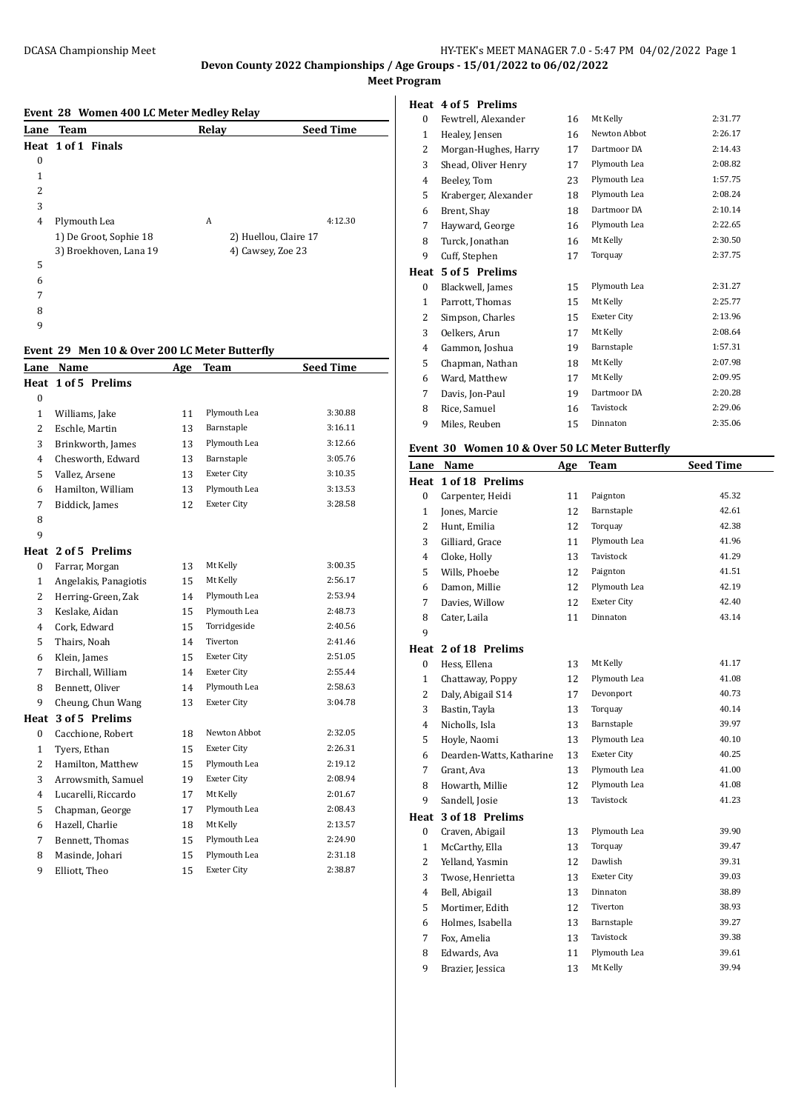**Devon County 2022 Championships / Age Groups - 15/01/2022 to 06/02/2022 Meet Program**

#### **Event 28 Women 400 LC Meter Medley Relay**

|      | Event 20 women 100 Beneter means nearly |       |                       |                  |  |  |  |  |
|------|-----------------------------------------|-------|-----------------------|------------------|--|--|--|--|
| Lane | <b>Team</b>                             | Relay |                       | <b>Seed Time</b> |  |  |  |  |
|      | Heat 1 of 1 Finals                      |       |                       |                  |  |  |  |  |
| 0    |                                         |       |                       |                  |  |  |  |  |
| 1    |                                         |       |                       |                  |  |  |  |  |
| 2    |                                         |       |                       |                  |  |  |  |  |
| 3    |                                         |       |                       |                  |  |  |  |  |
| 4    | Plymouth Lea                            | A     |                       | 4:12.30          |  |  |  |  |
|      | 1) De Groot, Sophie 18                  |       | 2) Huellou, Claire 17 |                  |  |  |  |  |
|      | 3) Broekhoven, Lana 19                  |       | 4) Cawsey, Zoe 23     |                  |  |  |  |  |
| 5    |                                         |       |                       |                  |  |  |  |  |
| 6    |                                         |       |                       |                  |  |  |  |  |
| 7    |                                         |       |                       |                  |  |  |  |  |
| 8    |                                         |       |                       |                  |  |  |  |  |
| 9    |                                         |       |                       |                  |  |  |  |  |

#### **Event 29 Men 10 & Over 200 LC Meter Butterfly**

|                  | $r$ ch $r \circ \alpha \circ r$ and $r \circ r$ are defined by $r \circ r$ |     |                    |                  |
|------------------|----------------------------------------------------------------------------|-----|--------------------|------------------|
| Lane             | Name                                                                       | Age | <b>Team</b>        | <b>Seed Time</b> |
| Heat             | 1 of 5 Prelims                                                             |     |                    |                  |
| $\boldsymbol{0}$ |                                                                            |     |                    |                  |
| 1                | Williams, Jake                                                             | 11  | Plymouth Lea       | 3:30.88          |
| $\overline{2}$   | Eschle, Martin                                                             | 13  | Barnstaple         | 3:16.11          |
| 3                | Brinkworth, James                                                          | 13  | Plymouth Lea       | 3:12.66          |
| 4                | Chesworth, Edward                                                          | 13  | Barnstaple         | 3:05.76          |
| 5                | Vallez, Arsene                                                             | 13  | Exeter City        | 3:10.35          |
| 6                | Hamilton, William                                                          | 13  | Plymouth Lea       | 3:13.53          |
| 7                | Biddick, James                                                             | 12  | <b>Exeter City</b> | 3:28.58          |
| 8                |                                                                            |     |                    |                  |
| 9                |                                                                            |     |                    |                  |
|                  | Heat 2 of 5 Prelims                                                        |     |                    |                  |
| 0                | Farrar, Morgan                                                             | 13  | Mt Kelly           | 3:00.35          |
| $\mathbf{1}$     | Angelakis, Panagiotis                                                      | 15  | Mt Kelly           | 2:56.17          |
| $\overline{2}$   | Herring-Green, Zak                                                         | 14  | Plymouth Lea       | 2:53.94          |
| 3                | Keslake, Aidan                                                             | 15  | Plymouth Lea       | 2:48.73          |
| 4                | Cork, Edward                                                               | 15  | Torridgeside       | 2:40.56          |
| 5                | Thairs, Noah                                                               | 14  | Tiverton           | 2:41.46          |
| 6                | Klein, James                                                               | 15  | <b>Exeter City</b> | 2:51.05          |
| 7                | Birchall, William                                                          | 14  | <b>Exeter City</b> | 2:55.44          |
| 8                | Bennett, Oliver                                                            | 14  | Plymouth Lea       | 2:58.63          |
| 9                | Cheung, Chun Wang                                                          | 13  | <b>Exeter City</b> | 3:04.78          |
| Heat             | 3 of 5 Prelims                                                             |     |                    |                  |
| 0                | Cacchione, Robert                                                          | 18  | Newton Abbot       | 2:32.05          |
| $\mathbf{1}$     | Tyers, Ethan                                                               | 15  | Exeter City        | 2:26.31          |
| $\overline{2}$   | Hamilton, Matthew                                                          | 15  | Plymouth Lea       | 2:19.12          |
| 3                | Arrowsmith, Samuel                                                         | 19  | <b>Exeter City</b> | 2:08.94          |
| 4                | Lucarelli, Riccardo                                                        | 17  | Mt Kelly           | 2:01.67          |
| 5                | Chapman, George                                                            | 17  | Plymouth Lea       | 2:08.43          |
| 6                | Hazell, Charlie                                                            | 18  | Mt Kelly           | 2:13.57          |
| 7                | Bennett, Thomas                                                            | 15  | Plymouth Lea       | 2:24.90          |
| 8                | Masinde, Johari                                                            | 15  | Plymouth Lea       | 2:31.18          |
| 9                | Elliott, Theo                                                              | 15  | <b>Exeter City</b> | 2:38.87          |

# **Heat 4 of 5 Prelims**

| 0    | Fewtrell, Alexander  | 16 | Mt Kelly     | 2:31.77 |
|------|----------------------|----|--------------|---------|
| 1    | Healey, Jensen       | 16 | Newton Abbot | 2:26.17 |
| 2    | Morgan-Hughes, Harry | 17 | Dartmoor DA  | 2:14.43 |
| 3    | Shead, Oliver Henry  | 17 | Plymouth Lea | 2:08.82 |
| 4    | Beeley, Tom          | 23 | Plymouth Lea | 1:57.75 |
| 5    | Kraberger, Alexander | 18 | Plymouth Lea | 2:08.24 |
| 6    | Brent, Shay          | 18 | Dartmoor DA  | 2:10.14 |
| 7    | Hayward, George      | 16 | Plymouth Lea | 2:22.65 |
| 8    | Turck, Jonathan      | 16 | Mt Kelly     | 2:30.50 |
| 9    | Cuff, Stephen        | 17 | Torquay      | 2:37.75 |
| Heat | 5 of 5 Prelims       |    |              |         |
| 0    | Blackwell, James     | 15 | Plymouth Lea | 2:31.27 |
| 1    | Parrott, Thomas      | 15 | Mt Kelly     | 2:25.77 |
| 2    | Simpson, Charles     | 15 | Exeter City  | 2:13.96 |
| 3    | Oelkers, Arun        | 17 | Mt Kelly     | 2:08.64 |
| 4    | Gammon, Joshua       | 19 | Barnstaple   | 1:57.31 |
| 5    | Chapman, Nathan      | 18 | Mt Kelly     | 2:07.98 |
| 6    | Ward, Matthew        | 17 | Mt Kelly     | 2:09.95 |
| 7    |                      |    |              |         |
|      | Davis, Jon-Paul      | 19 | Dartmoor DA  | 2:20.28 |
| 8    | Rice, Samuel         | 16 | Tavistock    | 2:29.06 |
| 9    | Miles, Reuben        | 15 | Dinnaton     | 2:35.06 |

#### **Event 30 Women 10 & Over 50 LC Meter Butterfly**

| Lane           | Name                     | Age | Team               | <b>Seed Time</b> |
|----------------|--------------------------|-----|--------------------|------------------|
| Heat           | 1 of 18 Prelims          |     |                    |                  |
| 0              | Carpenter, Heidi         | 11  | Paignton           | 45.32            |
| $\mathbf{1}$   | Jones, Marcie            | 12  | Barnstaple         | 42.61            |
| $\overline{2}$ | Hunt, Emilia             | 12  | Torquay            | 42.38            |
| 3              | Gilliard, Grace          | 11  | Plymouth Lea       | 41.96            |
| $\overline{4}$ | Cloke, Holly             | 13  | Tavistock          | 41.29            |
| 5              | Wills, Phoebe            | 12  | Paignton           | 41.51            |
| 6              | Damon, Millie            | 12  | Plymouth Lea       | 42.19            |
| 7              | Davies, Willow           | 12  | Exeter City        | 42.40            |
| 8              | Cater, Laila             | 11  | Dinnaton           | 43.14            |
| 9              |                          |     |                    |                  |
|                | Heat 2 of 18 Prelims     |     |                    |                  |
| 0              | Hess, Ellena             | 13  | Mt Kelly           | 41.17            |
| $\mathbf{1}$   | Chattaway, Poppy         | 12  | Plymouth Lea       | 41.08            |
| $\overline{2}$ | Daly, Abigail S14        | 17  | Devonport          | 40.73            |
| 3              | Bastin, Tayla            | 13  | Torquay            | 40.14            |
| $\overline{4}$ | Nicholls, Isla           | 13  | Barnstaple         | 39.97            |
| 5              | Hoyle, Naomi             | 13  | Plymouth Lea       | 40.10            |
| 6              | Dearden-Watts, Katharine | 13  | <b>Exeter City</b> | 40.25            |
| 7              | Grant, Ava               | 13  | Plymouth Lea       | 41.00            |
| 8              | Howarth, Millie          | 12  | Plymouth Lea       | 41.08            |
| 9              | Sandell, Josie           | 13  | Tavistock          | 41.23            |
| Heat           | 3 of 18 Prelims          |     |                    |                  |
| 0              | Craven, Abigail          | 13  | Plymouth Lea       | 39.90            |
| $\mathbf{1}$   | McCarthy, Ella           | 13  | Torquay            | 39.47            |
| $\overline{2}$ | Yelland, Yasmin          | 12  | Dawlish            | 39.31            |
| 3              | Twose, Henrietta         | 13  | Exeter City        | 39.03            |
| 4              | Bell, Abigail            | 13  | Dinnaton           | 38.89            |
| 5              | Mortimer, Edith          | 12  | Tiverton           | 38.93            |
| 6              | Holmes, Isabella         | 13  | Barnstaple         | 39.27            |
| 7              | Fox, Amelia              | 13  | Tavistock          | 39.38            |
| 8              | Edwards, Ava             | 11  | Plymouth Lea       | 39.61            |
| 9              | Brazier, Jessica         | 13  | Mt Kelly           | 39.94            |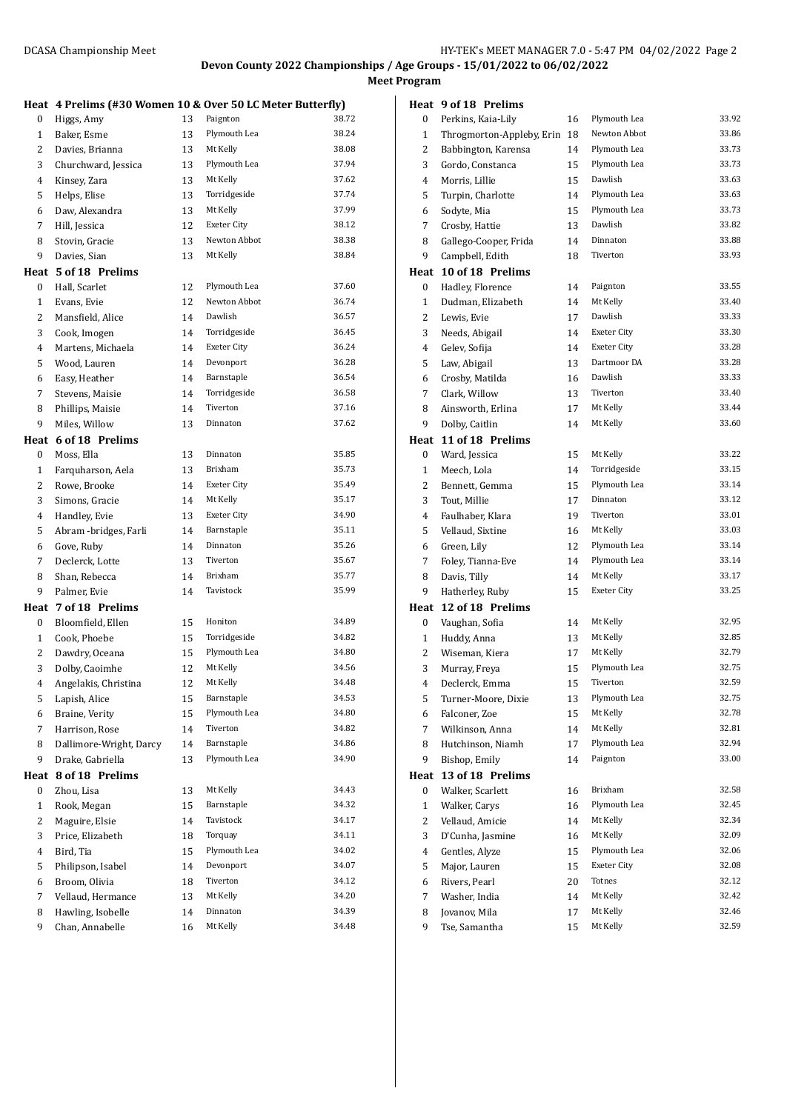**Meet Program**

# **Heat 4 Prelims (#30 Women 10 & Over 50 LC Meter Butterfly)** 0 Higgs, Amy 13 Paignton 38.72 1 Baker, Esme 13 Plymouth Lea 38.24

| 1            | Baker, Esme                          | 13 | Piymouth Lea                 | 38.Z4          |
|--------------|--------------------------------------|----|------------------------------|----------------|
| 2            | Davies, Brianna                      | 13 | Mt Kelly                     | 38.08          |
| 3            | Churchward, Jessica                  | 13 | Plymouth Lea                 | 37.94          |
| 4            | Kinsey, Zara                         | 13 | Mt Kelly                     | 37.62          |
| 5            | Helps, Elise                         | 13 | Torridgeside                 | 37.74          |
| 6            | Daw, Alexandra                       | 13 | Mt Kelly                     | 37.99          |
| 7            | Hill, Jessica                        | 12 | Exeter City                  | 38.12          |
| 8            | Stovin, Gracie                       | 13 | Newton Abbot                 | 38.38          |
| 9            | Davies, Sian                         | 13 | Mt Kelly                     | 38.84          |
| Heat         | 5 of 18 Prelims                      |    |                              |                |
| 0            | Hall, Scarlet                        | 12 | Plymouth Lea                 | 37.60          |
| $\mathbf{1}$ | Evans, Evie                          | 12 | Newton Abbot                 | 36.74          |
| 2            | Mansfield, Alice                     | 14 | Dawlish                      | 36.57          |
| 3            | Cook, Imogen                         | 14 | Torridgeside                 | 36.45          |
| 4            | Martens, Michaela                    | 14 | Exeter City                  | 36.24          |
| 5            | Wood, Lauren                         | 14 | Devonport                    | 36.28          |
| 6            | Easy, Heather                        | 14 | Barnstaple                   | 36.54          |
| 7            | Stevens, Maisie                      | 14 | Torridgeside                 | 36.58          |
| 8            | Phillips, Maisie                     | 14 | Tiverton                     | 37.16          |
| 9            | Miles, Willow                        | 13 | Dinnaton                     | 37.62          |
|              | Heat 6 of 18 Prelims                 |    |                              |                |
| 0            | Moss, Ella                           | 13 | Dinnaton                     | 35.85          |
| $\mathbf{1}$ | Farquharson, Aela                    | 13 | Brixham                      | 35.73          |
| 2            | Rowe, Brooke                         | 14 | Exeter City                  | 35.49          |
| 3            | Simons, Gracie                       | 14 | Mt Kelly                     | 35.17          |
| 4            | Handley, Evie                        | 13 | Exeter City                  | 34.90          |
| 5            | Abram -bridges, Farli                | 14 | Barnstaple                   | 35.11          |
| 6            | Gove, Ruby                           | 14 | Dinnaton                     | 35.26          |
| 7            | Declerck, Lotte                      | 13 | Tiverton                     | 35.67          |
| 8            | Shan, Rebecca                        | 14 | Brixham                      | 35.77          |
| 9            |                                      | 14 | Tavistock                    | 35.99          |
|              | Palmer, Evie                         |    |                              |                |
| Heat         | 7 of 18 Prelims                      |    | Honiton                      | 34.89          |
| 0            | Bloomfield, Ellen                    | 15 |                              | 34.82          |
| 1            | Cook, Phoebe                         | 15 | Torridgeside<br>Plymouth Lea |                |
| 2            | Dawdry, Oceana                       | 15 | Mt Kelly                     | 34.80          |
| 3            | Dolby, Caoimhe                       | 12 |                              | 34.56<br>34.48 |
| 4            | Angelakis, Christina                 | 12 | Mt Kelly<br>Barnstaple       | 34.53          |
| 5            | Lapish, Alice                        | 15 |                              |                |
| 6            | Braine, Verity                       | 15 | Plymouth Lea                 | 34.80<br>34.82 |
| 7            | Harrison, Rose                       | 14 | Tiverton                     |                |
| 8            | Dallimore-Wright, Darcy              | 14 | Barnstaple                   | 34.86          |
| 9            | Drake, Gabriella                     | 13 | Plymouth Lea                 | 34.90          |
| Heat         | 8 of 18 Prelims                      |    |                              |                |
| 0            | Zhou, Lisa                           | 13 | Mt Kelly                     | 34.43          |
| $\mathbf{1}$ | Rook, Megan                          | 15 | Barnstaple                   | 34.32          |
| 2            | Maguire, Elsie                       | 14 | Tavistock                    | 34.17          |
| 3            | Price, Elizabeth                     | 18 | Torquay                      | 34.11          |
| 4            | Bird, Tia                            | 15 | Plymouth Lea                 | 34.02          |
| 5            | Philipson, Isabel                    | 14 | Devonport                    | 34.07          |
| 6            | Broom, Olivia                        | 18 | Tiverton                     | 34.12          |
|              |                                      |    |                              |                |
| 7            | Vellaud, Hermance                    | 13 | Mt Kelly                     | 34.20          |
| 8<br>9       | Hawling, Isobelle<br>Chan, Annabelle | 14 | Dinnaton<br>Mt Kelly         | 34.39<br>34.48 |

|                | Heat 9 of 18 Prelims      |    |                    |       |
|----------------|---------------------------|----|--------------------|-------|
| 0              | Perkins, Kaia-Lily        | 16 | Plymouth Lea       | 33.92 |
| $\mathbf{1}$   | Throgmorton-Appleby, Erin | 18 | Newton Abbot       | 33.86 |
| 2              | Babbington, Karensa       | 14 | Plymouth Lea       | 33.73 |
| 3              | Gordo, Constanca          | 15 | Plymouth Lea       | 33.73 |
| 4              | Morris, Lillie            | 15 | Dawlish            | 33.63 |
| 5              | Turpin, Charlotte         | 14 | Plymouth Lea       | 33.63 |
| 6              | Sodyte, Mia               | 15 | Plymouth Lea       | 33.73 |
| 7              | Crosby, Hattie            | 13 | Dawlish            | 33.82 |
| 8              | Gallego-Cooper, Frida     | 14 | Dinnaton           | 33.88 |
| 9              | Campbell, Edith           | 18 | Tiverton           | 33.93 |
| Heat           | 10 of 18 Prelims          |    |                    |       |
| 0              | Hadley, Florence          | 14 | Paignton           | 33.55 |
| $\mathbf{1}$   | Dudman, Elizabeth         | 14 | Mt Kelly           | 33.40 |
| 2              | Lewis, Evie               | 17 | Dawlish            | 33.33 |
| 3              | Needs, Abigail            | 14 | Exeter City        | 33.30 |
| 4              | Gelev, Sofija             | 14 | Exeter City        | 33.28 |
| 5              | Law, Abigail              | 13 | Dartmoor DA        | 33.28 |
| 6              | Crosby, Matilda           | 16 | Dawlish            | 33.33 |
| 7              | Clark, Willow             | 13 | Tiverton           | 33.40 |
| 8              | Ainsworth, Erlina         | 17 | Mt Kelly           | 33.44 |
| 9              | Dolby, Caitlin            | 14 | Mt Kelly           | 33.60 |
| Heat           | 11 of 18 Prelims          |    |                    |       |
| 0              |                           | 15 | Mt Kelly           | 33.22 |
| $\mathbf{1}$   | Ward, Jessica             | 14 | Torridgeside       | 33.15 |
|                | Meech, Lola               |    |                    | 33.14 |
| 2              | Bennett, Gemma            | 15 | Plymouth Lea       | 33.12 |
| 3              | Tout, Millie              | 17 | Dinnaton           |       |
| 4              | Faulhaber, Klara          | 19 | Tiverton           | 33.01 |
| 5              | Vellaud, Sixtine          | 16 | Mt Kelly           | 33.03 |
| 6              | Green, Lily               | 12 | Plymouth Lea       | 33.14 |
| 7              | Foley, Tianna-Eve         | 14 | Plymouth Lea       | 33.14 |
| 8              | Davis, Tilly              | 14 | Mt Kelly           | 33.17 |
| 9              | Hatherley, Ruby           | 15 | Exeter City        | 33.25 |
| Heat           | 12 of 18 Prelims          |    |                    |       |
| 0              | Vaughan, Sofia            | 14 | Mt Kelly           | 32.95 |
| 1              | Huddy, Anna               | 13 | Mt Kelly           | 32.85 |
| 2              | Wiseman, Kiera            | 17 | Mt Kelly           | 32.79 |
| 3              | Murray, Freya             | 15 | Plymouth Lea       | 32.75 |
| $\overline{4}$ | Declerck, Emma            | 15 | Tiverton           | 32.59 |
| 5              | Turner-Moore, Dixie       | 13 | Plymouth Lea       | 32.75 |
| 6              | Falconer, Zoe             | 15 | Mt Kelly           | 32.78 |
| 7              | Wilkinson, Anna           | 14 | Mt Kelly           | 32.81 |
| 8              | Hutchinson, Niamh         | 17 | Plymouth Lea       | 32.94 |
| 9              | Bishop, Emily             | 14 | Paignton           | 33.00 |
| Heat           | 13 of 18 Prelims          |    |                    |       |
| 0              | Walker, Scarlett          | 16 | Brixham            | 32.58 |
| $\mathbf{1}$   | Walker, Carys             | 16 | Plymouth Lea       | 32.45 |
| $\overline{c}$ | Vellaud, Amicie           | 14 | Mt Kelly           | 32.34 |
| 3              | D'Cunha, Jasmine          | 16 | Mt Kelly           | 32.09 |
| 4              | Gentles, Alyze            | 15 | Plymouth Lea       | 32.06 |
| 5              | Major, Lauren             | 15 | <b>Exeter City</b> | 32.08 |
| 6              | Rivers, Pearl             | 20 | Totnes             | 32.12 |
| 7              | Washer, India             | 14 | Mt Kelly           | 32.42 |
| 8              | Jovanov, Mila             | 17 | Mt Kelly           | 32.46 |
| 9              | Tse, Samantha             | 15 | Mt Kelly           | 32.59 |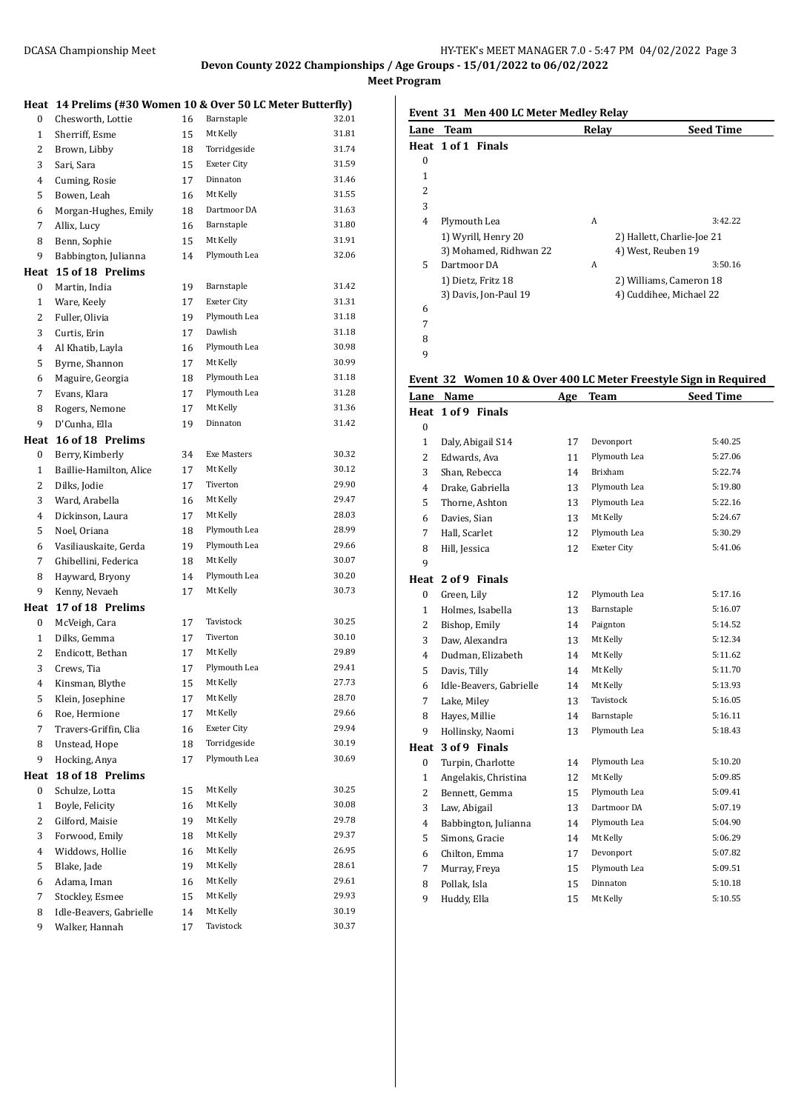**Meet Program**

# **Heat 14 Prelims (#30 Women 10 & Over 50 LC Meter Butterfly)** 0 Chesworth, Lottie 16 Barnstaple 32.01 1 Sherriff, Esme 15 Mt Kelly 31.81 Brown, Libby 18 Torridgeside 31.74

| 3            | Sari, Sara              | 15 | Exeter City        | 31.59 |
|--------------|-------------------------|----|--------------------|-------|
| 4            | Cuming, Rosie           | 17 | Dinnaton           | 31.46 |
| 5            | Bowen, Leah             | 16 | Mt Kelly           | 31.55 |
| 6            | Morgan-Hughes, Emily    | 18 | Dartmoor DA        | 31.63 |
| 7            | Allix, Lucy             | 16 | Barnstaple         | 31.80 |
| 8            | Benn, Sophie            | 15 | Mt Kelly           | 31.91 |
| 9            | Babbington, Julianna    | 14 | Plymouth Lea       | 32.06 |
| Heat         | 15 of 18 Prelims        |    |                    |       |
| 0            | Martin, India           | 19 | Barnstaple         | 31.42 |
| $\mathbf{1}$ | Ware, Keely             | 17 | <b>Exeter City</b> | 31.31 |
| 2            | Fuller, Olivia          | 19 | Plymouth Lea       | 31.18 |
| 3            | Curtis, Erin            | 17 | Dawlish            | 31.18 |
| 4            | Al Khatib, Layla        | 16 | Plymouth Lea       | 30.98 |
| 5            | Byrne, Shannon          | 17 | Mt Kelly           | 30.99 |
| 6            | Maguire, Georgia        | 18 | Plymouth Lea       | 31.18 |
| 7            | Evans, Klara            | 17 | Plymouth Lea       | 31.28 |
| 8            | Rogers, Nemone          | 17 | Mt Kelly           | 31.36 |
| 9            | D'Cunha, Ella           | 19 | Dinnaton           | 31.42 |
| Heat         | 16 of 18 Prelims        |    |                    |       |
| 0            | Berry, Kimberly         | 34 | Exe Masters        | 30.32 |
| $\mathbf{1}$ | Baillie-Hamilton, Alice | 17 | Mt Kelly           | 30.12 |
| 2            | Dilks, Jodie            | 17 | Tiverton           | 29.90 |
| 3            | Ward, Arabella          | 16 | Mt Kelly           | 29.47 |
| 4            | Dickinson, Laura        | 17 | Mt Kelly           | 28.03 |
| 5            | Noel, Oriana            | 18 | Plymouth Lea       | 28.99 |
| 6            | Vasiliauskaite, Gerda   | 19 | Plymouth Lea       | 29.66 |
| 7            | Ghibellini, Federica    | 18 | Mt Kelly           | 30.07 |
| 8            | Hayward, Bryony         | 14 | Plymouth Lea       | 30.20 |
| 9            | Kenny, Nevaeh           | 17 | Mt Kelly           | 30.73 |
| Heat         | 17 of 18 Prelims        |    |                    |       |
| 0            | McVeigh, Cara           | 17 | Tavistock          | 30.25 |
| $\mathbf{1}$ | Dilks, Gemma            | 17 | Tiverton           | 30.10 |
| 2            | Endicott, Bethan        | 17 | Mt Kelly           | 29.89 |
| 3            | Crews, Tia              | 17 | Plymouth Lea       | 29.41 |
| 4            | Kinsman, Blythe         | 15 | Mt Kelly           | 27.73 |
| 5            | Klein, Josephine        | 17 | Mt Kelly           | 28.70 |
| 6            | Roe, Hermione           | 17 | Mt Kelly           | 29.66 |
| 7            | Travers-Griffin, Clia   | 16 | <b>Exeter City</b> | 29.94 |
| 8            | Unstead, Hope           | 18 | Torridgeside       | 30.19 |
| 9            | Hocking, Anya           | 17 | Plymouth Lea       | 30.69 |
| Heat         | 18 of 18 Prelims        |    |                    |       |
| 0            | Schulze, Lotta          | 15 | Mt Kelly           | 30.25 |
| 1            | Boyle, Felicity         | 16 | Mt Kelly           | 30.08 |
| 2            | Gilford, Maisie         | 19 | Mt Kelly           | 29.78 |
| 3            | Forwood, Emily          | 18 | Mt Kelly           | 29.37 |
| 4            | Widdows, Hollie         | 16 | Mt Kelly           | 26.95 |
| 5            | Blake, Jade             | 19 | Mt Kelly           | 28.61 |
| 6            | Adama, Iman             | 16 | Mt Kelly           | 29.61 |
| 7            | Stockley, Esmee         | 15 | Mt Kelly           | 29.93 |
| 8            | Idle-Beavers, Gabrielle | 14 | Mt Kelly           | 30.19 |
| 9            | Walker, Hannah          | 17 | Tavistock          | 30.37 |

**Event 31 Men 400 LC Meter Medley Relay**

| Lane | <b>Team</b>            | Relay | <b>Seed Time</b>           |
|------|------------------------|-------|----------------------------|
|      | Heat 1 of 1 Finals     |       |                            |
| 0    |                        |       |                            |
| 1    |                        |       |                            |
| 2    |                        |       |                            |
| 3    |                        |       |                            |
| 4    | Plymouth Lea           | A     | 3:42.22                    |
|      | 1) Wyrill, Henry 20    |       | 2) Hallett, Charlie-Joe 21 |
|      | 3) Mohamed, Ridhwan 22 |       | 4) West, Reuben 19         |
| 5    | Dartmoor DA            | A     | 3:50.16                    |
|      | 1) Dietz, Fritz 18     |       | 2) Williams, Cameron 18    |
|      | 3) Davis, Jon-Paul 19  |       | 4) Cuddihee, Michael 22    |
| 6    |                        |       |                            |
| 7    |                        |       |                            |
| 8    |                        |       |                            |

**Event 32 Women 10 & Over 400 LC Meter Freestyle Sign in Required**

| Lane           | Name                    | <u>Age</u> | Team         | <b>Seed Time</b> |
|----------------|-------------------------|------------|--------------|------------------|
|                | Heat 1 of 9 Finals      |            |              |                  |
| 0              |                         |            |              |                  |
| $\mathbf{1}$   | Daly, Abigail S14       | 17         | Devonport    | 5:40.25          |
| $\overline{2}$ | Edwards, Ava            | 11         | Plymouth Lea | 5:27.06          |
| 3              | Shan, Rebecca           | 14         | Brixham      | 5:22.74          |
| 4              | Drake, Gabriella        | 13         | Plymouth Lea | 5:19.80          |
| 5              | Thorne, Ashton          | 13         | Plymouth Lea | 5:22.16          |
| 6              | Davies, Sian            | 13         | Mt Kelly     | 5:24.67          |
| 7              | Hall, Scarlet           | 12         | Plymouth Lea | 5:30.29          |
| 8              | Hill, Jessica           | 12         | Exeter City  | 5:41.06          |
| 9              |                         |            |              |                  |
|                | Heat 2 of 9 Finals      |            |              |                  |
| $\bf{0}$       | Green, Lily             | 12         | Plymouth Lea | 5:17.16          |
| $\mathbf{1}$   | Holmes, Isabella        | 13         | Barnstaple   | 5:16.07          |
| 2              | Bishop, Emily           | 14         | Paignton     | 5:14.52          |
| 3              | Daw, Alexandra          | 13         | Mt Kelly     | 5:12.34          |
| 4              | Dudman, Elizabeth       | 14         | Mt Kelly     | 5:11.62          |
| 5              | Davis, Tilly            | 14         | Mt Kelly     | 5:11.70          |
| 6              | Idle-Beavers, Gabrielle | 14         | Mt Kelly     | 5:13.93          |
| 7              | Lake, Miley             | 13         | Tavistock    | 5:16.05          |
| 8              | Hayes, Millie           | 14         | Barnstaple   | 5:16.11          |
| 9              | Hollinsky, Naomi        | 13         | Plymouth Lea | 5:18.43          |
| Heat           | 3 of 9 Finals           |            |              |                  |
| 0              | Turpin, Charlotte       | 14         | Plymouth Lea | 5:10.20          |
| $\mathbf{1}$   | Angelakis, Christina    | 12         | Mt Kelly     | 5:09.85          |
| $\overline{2}$ | Bennett, Gemma          | 15         | Plymouth Lea | 5:09.41          |
| 3              | Law, Abigail            | 13         | Dartmoor DA  | 5:07.19          |
| 4              | Babbington, Julianna    | 14         | Plymouth Lea | 5:04.90          |
| 5              | Simons, Gracie          | 14         | Mt Kelly     | 5:06.29          |
| 6              | Chilton, Emma           | 17         | Devonport    | 5:07.82          |
| 7              | Murray, Freya           | 15         | Plymouth Lea | 5:09.51          |
| 8              | Pollak, Isla            | 15         | Dinnaton     | 5:10.18          |
| 9              | Huddy, Ella             | 15         | Mt Kelly     | 5:10.55          |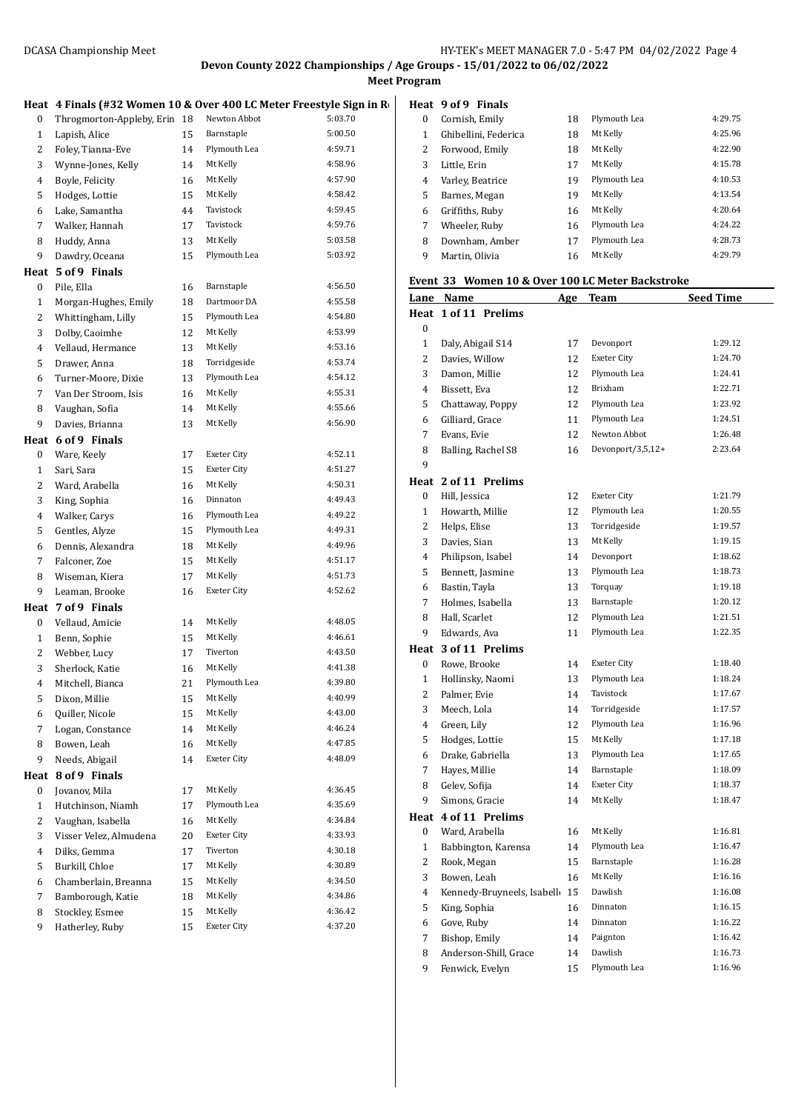**Meet Program**

|                | Heat 4 Finals (#32 Women 10 & Over 400 LC Meter Freestyle Sign in Re |    |                    |         | Heat           |
|----------------|----------------------------------------------------------------------|----|--------------------|---------|----------------|
| 0              | Throgmorton-Appleby, Erin 18                                         |    | Newton Abbot       | 5:03.70 | 0              |
| 1              | Lapish, Alice                                                        | 15 | Barnstaple         | 5:00.50 | $\mathbf{1}$   |
| 2              | Foley, Tianna-Eve                                                    | 14 | Plymouth Lea       | 4:59.71 | 2              |
| 3              | Wynne-Jones, Kelly                                                   | 14 | Mt Kelly           | 4:58.96 | 3              |
| 4              | Boyle, Felicity                                                      | 16 | Mt Kelly           | 4:57.90 | $\overline{4}$ |
| 5              | Hodges, Lottie                                                       | 15 | Mt Kelly           | 4:58.42 | 5              |
| 6              | Lake, Samantha                                                       | 44 | Tavistock          | 4:59.45 | 6              |
| 7              | Walker, Hannah                                                       | 17 | Tavistock          | 4:59.76 | 7              |
| 8              | Huddy, Anna                                                          | 13 | Mt Kelly           | 5:03.58 | 8              |
| 9              | Dawdry, Oceana                                                       | 15 | Plymouth Lea       | 5:03.92 | 9              |
|                | Heat 5 of 9 Finals                                                   |    |                    |         |                |
| 0              | Pile, Ella                                                           | 16 | Barnstaple         | 4:56.50 | Even           |
| 1              | Morgan-Hughes, Emily                                                 | 18 | Dartmoor DA        | 4:55.58 | <u>Lane</u>    |
| $\overline{c}$ | Whittingham, Lilly                                                   | 15 | Plymouth Lea       | 4:54.80 | Heat           |
| 3              | Dolby, Caoimhe                                                       | 12 | Mt Kelly           | 4:53.99 | 0              |
| 4              | Vellaud, Hermance                                                    | 13 | Mt Kelly           | 4:53.16 | $\mathbf{1}$   |
| 5              | Drawer, Anna                                                         | 18 | Torridgeside       | 4:53.74 | $\overline{c}$ |
| 6              | Turner-Moore, Dixie                                                  | 13 | Plymouth Lea       | 4:54.12 | 3              |
| 7              | Van Der Stroom, Isis                                                 | 16 | Mt Kelly           | 4:55.31 | $\overline{4}$ |
| 8              | Vaughan, Sofia                                                       | 14 | Mt Kelly           | 4:55.66 | 5              |
| 9              | Davies, Brianna                                                      | 13 | Mt Kelly           | 4:56.90 | 6              |
|                | Heat 6 of 9 Finals                                                   |    |                    |         | 7              |
| 0              | Ware, Keely                                                          | 17 | <b>Exeter City</b> | 4:52.11 | 8              |
| 1              | Sari, Sara                                                           | 15 | <b>Exeter City</b> | 4:51.27 | 9              |
| 2              | Ward, Arabella                                                       | 16 | Mt Kelly           | 4:50.31 | Heat           |
| 3              | King, Sophia                                                         | 16 | Dinnaton           | 4:49.43 | 0              |
| 4              | Walker, Carys                                                        | 16 | Plymouth Lea       | 4:49.22 | $\mathbf{1}$   |
| 5              | Gentles, Alyze                                                       | 15 | Plymouth Lea       | 4:49.31 | 2              |
| 6              | Dennis, Alexandra                                                    | 18 | Mt Kelly           | 4:49.96 | 3              |
| 7              | Falconer, Zoe                                                        | 15 | Mt Kelly           | 4:51.17 | 4              |
| 8              | Wiseman, Kiera                                                       | 17 | Mt Kelly           | 4:51.73 | 5              |
| 9              | Leaman, Brooke                                                       | 16 | <b>Exeter City</b> | 4:52.62 | 6              |
|                | Heat 7 of 9 Finals                                                   |    |                    |         | 7              |
| 0              | Vellaud, Amicie                                                      | 14 | Mt Kelly           | 4:48.05 | 8              |
| $\mathbf{1}$   | Benn, Sophie                                                         | 15 | Mt Kelly           | 4:46.61 | 9              |
| 2              | Webber, Lucy                                                         | 17 | Tiverton           | 4:43.50 | Heat           |
| 3              | Sherlock, Katie                                                      | 16 | Mt Kelly           | 4:41.38 | 0              |
| $\overline{4}$ | Mitchell, Bianca                                                     | 21 | Plymouth Lea       | 4:39.80 | $\mathbf{1}$   |
| 5              | Dixon, Millie                                                        | 15 | Mt Kelly           | 4:40.99 | 2              |
| 6              | Quiller, Nicole                                                      | 15 | Mt Kelly           | 4:43.00 | 3              |
| 7              | Logan, Constance                                                     | 14 | Mt Kelly           | 4:46.24 | 4              |
| 8              | Bowen, Leah                                                          | 16 | Mt Kelly           | 4:47.85 | 5              |
| 9              | Needs, Abigail                                                       | 14 | <b>Exeter City</b> | 4:48.09 | 6              |
| Heat           | 8 of 9 Finals                                                        |    |                    |         | 7              |
| 0              | Jovanov, Mila                                                        | 17 | Mt Kelly           | 4:36.45 | 8              |
| $\mathbf{1}$   | Hutchinson, Niamh                                                    | 17 | Plymouth Lea       | 4:35.69 | 9              |
| 2              | Vaughan, Isabella                                                    | 16 | Mt Kelly           | 4:34.84 | Heat           |
| 3              | Visser Velez, Almudena                                               | 20 | Exeter City        | 4:33.93 | 0              |
| 4              | Dilks, Gemma                                                         | 17 | Tiverton           | 4:30.18 | 1              |
| 5              | Burkill, Chloe                                                       | 17 | Mt Kelly           | 4:30.89 | 2              |
| 6              | Chamberlain, Breanna                                                 | 15 | Mt Kelly           | 4:34.50 | 3              |
| 7              | Bamborough, Katie                                                    | 18 | Mt Kelly           | 4:34.86 | $\overline{4}$ |
| 8              | Stockley, Esmee                                                      | 15 | Mt Kelly           | 4:36.42 | 5              |
| 9              | Hatherley, Ruby                                                      | 15 | <b>Exeter City</b> | 4:37.20 | 6              |

|   | Heat 9 of 9 Finals   |    |              |         |
|---|----------------------|----|--------------|---------|
| 0 | Cornish, Emily       | 18 | Plymouth Lea | 4:29.75 |
| 1 | Ghibellini, Federica | 18 | Mt Kelly     | 4:25.96 |
| 2 | Forwood, Emily       | 18 | Mt Kelly     | 4:22.90 |
| 3 | Little, Erin         | 17 | Mt Kelly     | 4:15.78 |
| 4 | Varley, Beatrice     | 19 | Plymouth Lea | 4:10.53 |
| 5 | Barnes, Megan        | 19 | Mt Kelly     | 4:13.54 |
| 6 | Griffiths, Ruby      | 16 | Mt Kelly     | 4:20.64 |
| 7 | Wheeler, Ruby        | 16 | Plymouth Lea | 4:24.22 |
| 8 | Downham, Amber       | 17 | Plymouth Lea | 4:28.73 |
| 9 | Martin, Olivia       | 16 | Mt Kelly     | 4:29.79 |

### **Event 33 Women 10 & Over 100 LC Meter Backstroke**

| <u>Lane</u>    | <b>Name</b>                   | <u>Age</u> | <u>Team</u>        | <b>Seed Time</b> |
|----------------|-------------------------------|------------|--------------------|------------------|
|                | Heat 1 of 11 Prelims          |            |                    |                  |
| 0              |                               |            |                    |                  |
| $\mathbf{1}$   | Daly, Abigail S14             | 17         | Devonport          | 1:29.12          |
| 2              | Davies, Willow                | 12         | <b>Exeter City</b> | 1:24.70          |
| 3              | Damon, Millie                 | 12         | Plymouth Lea       | 1:24.41          |
| $\overline{4}$ | Bissett, Eva                  | 12         | Brixham            | 1:22.71          |
| 5              | Chattaway, Poppy              | 12         | Plymouth Lea       | 1:23.92          |
| 6              | Gilliard, Grace               | 11         | Plymouth Lea       | 1:24.51          |
| 7              | Evans, Evie                   | 12         | Newton Abbot       | 1:26.48          |
| 8              | Balling, Rachel S8            | 16         | Devonport/3,5,12+  | 2:23.64          |
| 9              |                               |            |                    |                  |
|                | Heat 2 of 11 Prelims          |            |                    |                  |
| 0              | Hill, Jessica                 | 12         | Exeter City        | 1:21.79          |
| $\mathbf{1}$   | Howarth, Millie               | 12         | Plymouth Lea       | 1:20.55          |
| 2              | Helps, Elise                  | 13         | Torridgeside       | 1:19.57          |
| 3              | Davies, Sian                  | 13         | Mt Kelly           | 1:19.15          |
| 4              | Philipson, Isabel             | 14         | Devonport          | 1:18.62          |
| 5              | Bennett, Jasmine              | 13         | Plymouth Lea       | 1:18.73          |
| 6              | Bastin, Tayla                 | 13         | Torquay            | 1:19.18          |
| 7              | Holmes, Isabella              | 13         | Barnstaple         | 1:20.12          |
| 8              | Hall, Scarlet                 | 12         | Plymouth Lea       | 1:21.51          |
| 9              | Edwards, Ava                  | 11         | Plymouth Lea       | 1:22.35          |
|                | Heat 3 of 11 Prelims          |            |                    |                  |
| $\bf{0}$       | Rowe, Brooke                  | 14         | <b>Exeter City</b> | 1:18.40          |
| 1              | Hollinsky, Naomi              | 13         | Plymouth Lea       | 1:18.24          |
| 2              | Palmer, Evie                  | 14         | Tavistock          | 1:17.67          |
| 3              | Meech, Lola                   | 14         | Torridgeside       | 1:17.57          |
| 4              | Green, Lily                   | 12         | Plymouth Lea       | 1:16.96          |
| 5              | Hodges, Lottie                | 15         | Mt Kelly           | 1:17.18          |
| 6              | Drake, Gabriella              | 13         | Plymouth Lea       | 1:17.65          |
| 7              | Hayes, Millie                 | 14         | Barnstaple         | 1:18.09          |
| 8              | Gelev, Sofija                 | 14         | <b>Exeter City</b> | 1:18.37          |
| 9              | Simons, Gracie                | 14         | Mt Kelly           | 1:18.47          |
| Heat           | 4 of 11 Prelims               |            |                    |                  |
| 0              | Ward, Arabella                | 16         | Mt Kelly           | 1:16.81          |
| $\mathbf{1}$   | Babbington, Karensa           | 14         | Plymouth Lea       | 1:16.47          |
| 2              | Rook, Megan                   | 15         | Barnstaple         | 1:16.28          |
| 3              | Bowen, Leah                   | 16         | Mt Kelly           | 1:16.16          |
| 4              | Kennedy-Bruyneels, Isabell 15 |            | Dawlish            | 1:16.08          |
| 5              | King, Sophia                  | 16         | Dinnaton           | 1:16.15          |
| 6              | Gove, Ruby                    | 14         | Dinnaton           | 1:16.22          |
| 7              | Bishop, Emily                 | 14         | Paignton           | 1:16.42          |
| 8              | Anderson-Shill, Grace         | 14         | Dawlish            | 1:16.73          |
| 9              | Fenwick, Evelyn               | 15         | Plymouth Lea       | 1:16.96          |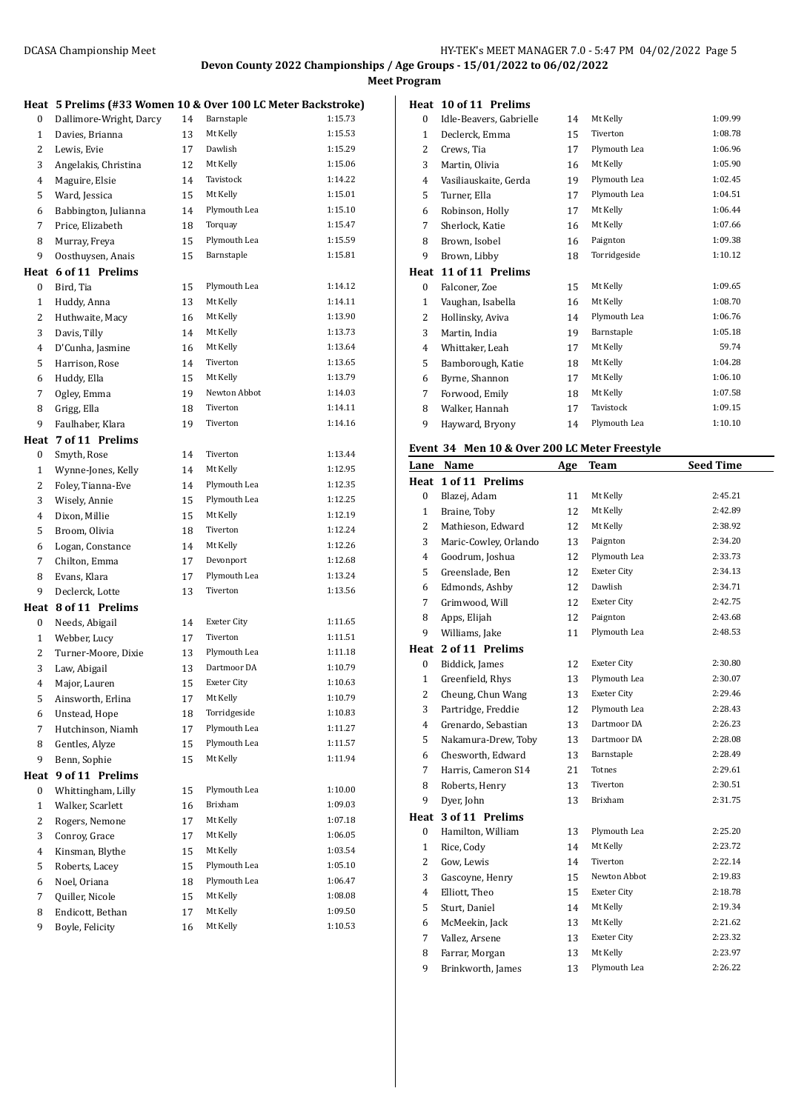**Meet Program**

|                | Heat 5 Prelims (#33 Women 10 & Over 100 LC Meter Backstroke) |    |                    |         |
|----------------|--------------------------------------------------------------|----|--------------------|---------|
| 0              | Dallimore-Wright, Darcy                                      | 14 | Barnstaple         | 1:15.73 |
| $\mathbf{1}$   | Davies, Brianna                                              | 13 | Mt Kelly           | 1:15.53 |
| 2              | Lewis, Evie                                                  | 17 | Dawlish            | 1:15.29 |
| 3              | Angelakis, Christina                                         | 12 | Mt Kelly           | 1:15.06 |
| 4              | Maguire, Elsie                                               | 14 | Tavistock          | 1:14.22 |
| 5              | Ward, Jessica                                                | 15 | Mt Kelly           | 1:15.01 |
| 6              | Babbington, Julianna                                         | 14 | Plymouth Lea       | 1:15.10 |
| 7              | Price, Elizabeth                                             | 18 | Torquay            | 1:15.47 |
| 8              | Murray, Freya                                                | 15 | Plymouth Lea       | 1:15.59 |
| 9              | Oosthuysen, Anais                                            | 15 | Barnstaple         | 1:15.81 |
| Heat           | 6 of 11 Prelims                                              |    |                    |         |
| 0              | Bird, Tia                                                    | 15 | Plymouth Lea       | 1:14.12 |
| $\mathbf{1}$   | Huddy, Anna                                                  | 13 | Mt Kelly           | 1:14.11 |
| 2              | Huthwaite, Macy                                              | 16 | Mt Kelly           | 1:13.90 |
| 3              | Davis, Tilly                                                 | 14 | Mt Kelly           | 1:13.73 |
| 4              | D'Cunha, Jasmine                                             | 16 | Mt Kelly           | 1:13.64 |
| 5              | Harrison, Rose                                               | 14 | Tiverton           | 1:13.65 |
| 6              | Huddy, Ella                                                  | 15 | Mt Kelly           | 1:13.79 |
| 7              | Ogley, Emma                                                  | 19 | Newton Abbot       | 1:14.03 |
| 8              | Grigg, Ella                                                  | 18 | Tiverton           | 1:14.11 |
| 9              | Faulhaber, Klara                                             | 19 | Tiverton           | 1:14.16 |
|                | Heat 7 of 11 Prelims                                         |    |                    |         |
| 0              | Smyth, Rose                                                  | 14 | Tiverton           | 1:13.44 |
| $\mathbf{1}$   | Wynne-Jones, Kelly                                           | 14 | Mt Kelly           | 1:12.95 |
| 2              | Foley, Tianna-Eve                                            | 14 | Plymouth Lea       | 1:12.35 |
| 3              | Wisely, Annie                                                | 15 | Plymouth Lea       | 1:12.25 |
| 4              | Dixon, Millie                                                | 15 | Mt Kelly           | 1:12.19 |
| 5              | Broom, Olivia                                                | 18 | Tiverton           | 1:12.24 |
| 6              |                                                              | 14 | Mt Kelly           | 1:12.26 |
| 7              | Logan, Constance<br>Chilton, Emma                            | 17 | Devonport          | 1:12.68 |
| 8              |                                                              | 17 | Plymouth Lea       | 1:13.24 |
| 9              | Evans, Klara<br>Declerck, Lotte                              | 13 | Tiverton           | 1:13.56 |
|                |                                                              |    |                    |         |
|                | Heat 8 of 11 Prelims                                         |    |                    |         |
| 0              | Needs, Abigail                                               | 14 | <b>Exeter City</b> | 1:11.65 |
| $\mathbf{1}$   | Webber, Lucy                                                 | 17 | Tiverton           | 1:11.51 |
| 2              | Turner-Moore, Dixie                                          | 13 | Plymouth Lea       | 1:11.18 |
| 3              | Law, Abigail                                                 | 13 | Dartmoor DA        | 1:10.79 |
| 4              | Major, Lauren                                                | 15 | Exeter City        | 1:10.63 |
| 5              | Ainsworth, Erlina                                            | 17 | Mt Kelly           | 1:10.79 |
| 6              | Unstead, Hope                                                | 18 | Torridgeside       | 1:10.83 |
| 7              | Hutchinson, Niamh                                            | 17 | Plymouth Lea       | 1:11.27 |
| 8              | Gentles, Alyze                                               | 15 | Plymouth Lea       | 1:11.57 |
| 9              | Benn, Sophie                                                 | 15 | Mt Kelly           | 1:11.94 |
| Heat           | 9 of 11 Prelims                                              |    |                    |         |
| 0              | Whittingham, Lilly                                           | 15 | Plymouth Lea       | 1:10.00 |
| $\mathbf{1}$   | Walker, Scarlett                                             | 16 | Brixham            | 1:09.03 |
| $\overline{c}$ | Rogers, Nemone                                               | 17 | Mt Kelly           | 1:07.18 |
| 3              | Conroy, Grace                                                | 17 | Mt Kelly           | 1:06.05 |
| 4              | Kinsman, Blythe                                              | 15 | Mt Kelly           | 1:03.54 |
| 5              | Roberts, Lacey                                               | 15 | Plymouth Lea       | 1:05.10 |
| 6              | Noel, Oriana                                                 | 18 | Plymouth Lea       | 1:06.47 |
| 7              | Quiller, Nicole                                              | 15 | Mt Kelly           | 1:08.08 |
| 8              | Endicott, Bethan                                             | 17 | Mt Kelly           | 1:09.50 |
| 9              | Boyle, Felicity                                              | 16 | Mt Kelly           | 1:10.53 |
|                |                                                              |    |                    |         |

#### **Heat 10 of 11 Prelims**

| 0    | Idle-Beavers, Gabrielle | 14 | Mt Kelly     | 1:09.99 |
|------|-------------------------|----|--------------|---------|
| 1    | Declerck, Emma          | 15 | Tiverton     | 1:08.78 |
| 2    | Crews, Tia              | 17 | Plymouth Lea | 1:06.96 |
| 3    | Martin, Olivia          | 16 | Mt Kelly     | 1:05.90 |
| 4    | Vasiliauskaite, Gerda   | 19 | Plymouth Lea | 1:02.45 |
| 5    | Turner, Ella            | 17 | Plymouth Lea | 1:04.51 |
| 6    | Robinson, Holly         | 17 | Mt Kelly     | 1:06.44 |
| 7    | Sherlock, Katie         | 16 | Mt Kelly     | 1:07.66 |
| 8    | Brown, Isobel           | 16 | Paignton     | 1:09.38 |
| 9    | Brown, Libby            | 18 | Torridgeside | 1:10.12 |
| Heat | 11 of 11 Prelims        |    |              |         |
| 0    | Falconer, Zoe           | 15 | Mt Kelly     | 1:09.65 |
|      |                         |    |              |         |
| 1    | Vaughan, Isabella       | 16 | Mt Kelly     | 1:08.70 |
| 2    | Hollinsky, Aviva        | 14 | Plymouth Lea | 1:06.76 |
| 3    | Martin, India           | 19 | Barnstaple   | 1:05.18 |
| 4    | Whittaker, Leah         | 17 | Mt Kelly     | 59.74   |
| 5    | Bamborough, Katie       | 18 | Mt Kelly     | 1:04.28 |
| 6    | Byrne, Shannon          | 17 | Mt Kelly     | 1:06.10 |
| 7    | Forwood, Emily          | 18 | Mt Kelly     | 1:07.58 |
| 8    | Walker, Hannah          | 17 | Tavistock    | 1:09.15 |
| 9    | Hayward, Bryony         | 14 | Plymouth Lea | 1:10.10 |

#### **Event 34 Men 10 & Over 200 LC Meter Freestyle**

| Lane           | Name                  | <u>Age</u> | <b>Team</b>        | <b>Seed Time</b> |
|----------------|-----------------------|------------|--------------------|------------------|
| Heat           | 1 of 11 Prelims       |            |                    |                  |
| 0              | Blazej, Adam          | 11         | Mt Kelly           | 2:45.21          |
| $\mathbf{1}$   | Braine, Toby          | 12         | Mt Kelly           | 2:42.89          |
| $\overline{2}$ | Mathieson, Edward     | 12         | Mt Kelly           | 2:38.92          |
| 3              | Maric-Cowley, Orlando | 13         | Paignton           | 2:34.20          |
| 4              | Goodrum, Joshua       | 12         | Plymouth Lea       | 2:33.73          |
| 5              | Greenslade, Ben       | 12         | <b>Exeter City</b> | 2:34.13          |
| 6              | Edmonds, Ashby        | 12         | Dawlish            | 2:34.71          |
| 7              | Grimwood, Will        | 12         | <b>Exeter City</b> | 2:42.75          |
| 8              | Apps, Elijah          | 12         | Paignton           | 2:43.68          |
| 9              | Williams, Jake        | 11         | Plymouth Lea       | 2:48.53          |
| Heat           | 2 of 11 Prelims       |            |                    |                  |
| 0              | Biddick, James        | 12         | Exeter City        | 2:30.80          |
| $\mathbf{1}$   | Greenfield, Rhys      | 13         | Plymouth Lea       | 2:30.07          |
| $\overline{2}$ | Cheung, Chun Wang     | 13         | <b>Exeter City</b> | 2:29.46          |
| 3              | Partridge, Freddie    | 12         | Plymouth Lea       | 2:28.43          |
| 4              | Grenardo, Sebastian   | 13         | Dartmoor DA        | 2:26.23          |
| 5              | Nakamura-Drew, Toby   | 13         | Dartmoor DA        | 2:28.08          |
| 6              | Chesworth, Edward     | 13         | Barnstaple         | 2:28.49          |
| 7              | Harris, Cameron S14   | 21         | Totnes             | 2:29.61          |
| 8              | Roberts, Henry        | 13         | Tiverton           | 2:30.51          |
| 9              | Dyer, John            | 13         | Brixham            | 2:31.75          |
| Heat           | 3 of 11 Prelims       |            |                    |                  |
| 0              | Hamilton, William     | 13         | Plymouth Lea       | 2:25.20          |
| $\mathbf{1}$   | Rice, Cody            | 14         | Mt Kelly           | 2:23.72          |
| 2              | Gow, Lewis            | 14         | Tiverton           | 2:22.14          |
| 3              | Gascoyne, Henry       | 15         | Newton Abbot       | 2:19.83          |
| 4              | Elliott, Theo         | 15         | <b>Exeter City</b> | 2:18.78          |
| 5              | Sturt, Daniel         | 14         | Mt Kelly           | 2:19.34          |
| 6              | McMeekin, Jack        | 13         | Mt Kelly           | 2:21.62          |
| 7              | Vallez, Arsene        | 13         | Exeter City        | 2:23.32          |
| 8              | Farrar, Morgan        | 13         | Mt Kelly           | 2:23.97          |
| 9              | Brinkworth, James     | 13         | Plymouth Lea       | 2:26.22          |